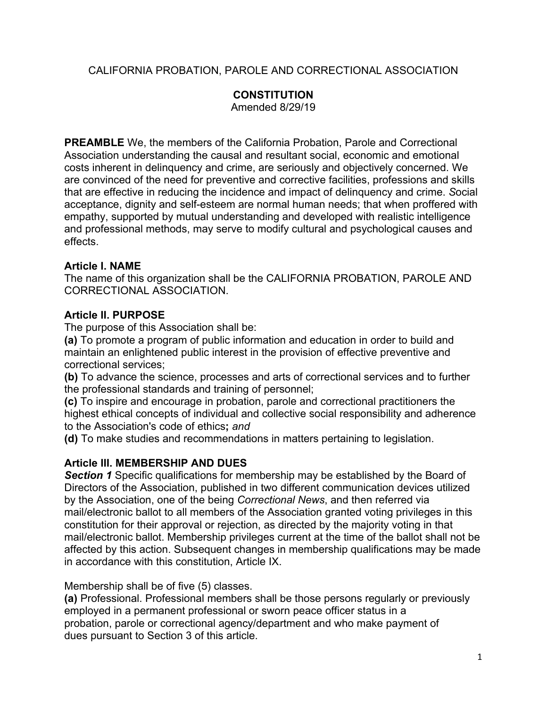CALIFORNIA PROBATION, PAROLE AND CORRECTIONAL ASSOCIATION

# **CONSTITUTION**

Amended 8/29/19

**PREAMBLE** We, the members of the California Probation, Parole and Correctional Association understanding the causal and resultant social, economic and emotional costs inherent in delinquency and crime, are seriously and objectively concerned. We are convinced of the need for preventive and corrective facilities, professions and skills that are effective in reducing the incidence and impact of delinquency and crime. *S*ocial acceptance, dignity and self-esteem are normal human needs; that when proffered with empathy, supported by mutual understanding and developed with realistic intelligence and professional methods, may serve to modify cultural and psychological causes and effects.

#### **Article I. NAME**

The name of this organization shall be the CALIFORNIA PROBATION, PAROLE AND CORRECTIONAL ASSOCIATION.

## **Article II. PURPOSE**

The purpose of this Association shall be:

**(a)** To promote a program of public information and education in order to build and maintain an enlightened public interest in the provision of effective preventive and correctional services;

**(b)** To advance the science, processes and arts of correctional services and to further the professional standards and training of personnel;

**(c)** To inspire and encourage in probation, parole and correctional practitioners the highest ethical concepts of individual and collective social responsibility and adherence to the Association's code of ethics**;** *and* 

**(d)** To make studies and recommendations in matters pertaining to legislation.

## **Article III. MEMBERSHIP AND DUES**

**Section 1** Specific qualifications for membership may be established by the Board of Directors of the Association, published in two different communication devices utilized by the Association, one of the being *Correctional News*, and then referred via mail/electronic ballot to all members of the Association granted voting privileges in this constitution for their approval or rejection, as directed by the majority voting in that mail/electronic ballot. Membership privileges current at the time of the ballot shall not be affected by this action. Subsequent changes in membership qualifications may be made in accordance with this constitution, Article IX.

Membership shall be of five (5) classes.

**(a)** Professional. Professional members shall be those persons regularly or previously employed in a permanent professional or sworn peace officer status in a probation, parole or correctional agency/department and who make payment of dues pursuant to Section 3 of this article.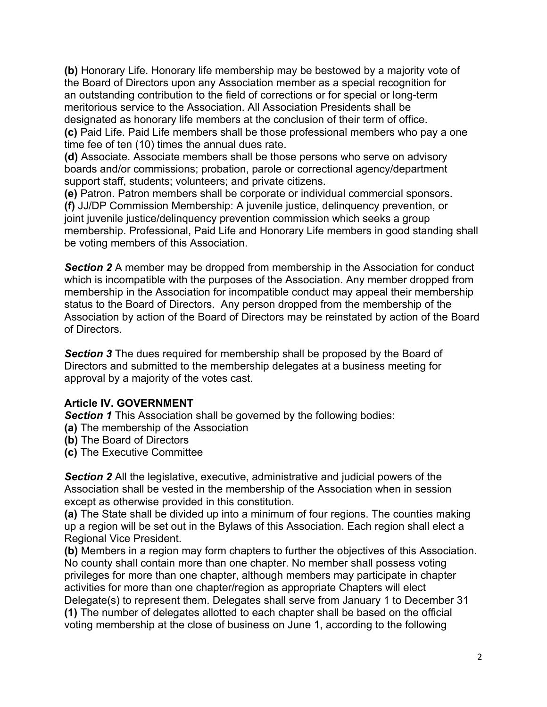**(b)** Honorary Life. Honorary life membership may be bestowed by a majority vote of the Board of Directors upon any Association member as a special recognition for an outstanding contribution to the field of corrections or for special or long-term meritorious service to the Association. All Association Presidents shall be designated as honorary life members at the conclusion of their term of office. **(c)** Paid Life. Paid Life members shall be those professional members who pay a one time fee of ten (10) times the annual dues rate.

**(d)** Associate. Associate members shall be those persons who serve on advisory boards and/or commissions; probation, parole or correctional agency/department support staff, students; volunteers; and private citizens.

**(e)** Patron. Patron members shall be corporate or individual commercial sponsors. **(f)** JJ/DP Commission Membership: A juvenile justice, delinquency prevention, or joint juvenile justice/delinquency prevention commission which seeks a group membership. Professional, Paid Life and Honorary Life members in good standing shall be voting members of this Association.

**Section 2** A member may be dropped from membership in the Association for conduct which is incompatible with the purposes of the Association. Any member dropped from membership in the Association for incompatible conduct may appeal their membership status to the Board of Directors. Any person dropped from the membership of the Association by action of the Board of Directors may be reinstated by action of the Board of Directors.

**Section 3** The dues required for membership shall be proposed by the Board of Directors and submitted to the membership delegates at a business meeting for approval by a majority of the votes cast.

## **Article IV. GOVERNMENT**

**Section 1** This Association shall be governed by the following bodies:

- **(a)** The membership of the Association
- **(b)** The Board of Directors
- **(c)** The Executive Committee

**Section 2** All the legislative, executive, administrative and judicial powers of the Association shall be vested in the membership of the Association when in session except as otherwise provided in this constitution.

**(a)** The State shall be divided up into a minimum of four regions. The counties making up a region will be set out in the Bylaws of this Association. Each region shall elect a Regional Vice President.

**(b)** Members in a region may form chapters to further the objectives of this Association. No county shall contain more than one chapter. No member shall possess voting privileges for more than one chapter, although members may participate in chapter activities for more than one chapter/region as appropriate Chapters will elect Delegate(s) to represent them. Delegates shall serve from January 1 to December 31 **(1)** The number of delegates allotted to each chapter shall be based on the official voting membership at the close of business on June 1, according to the following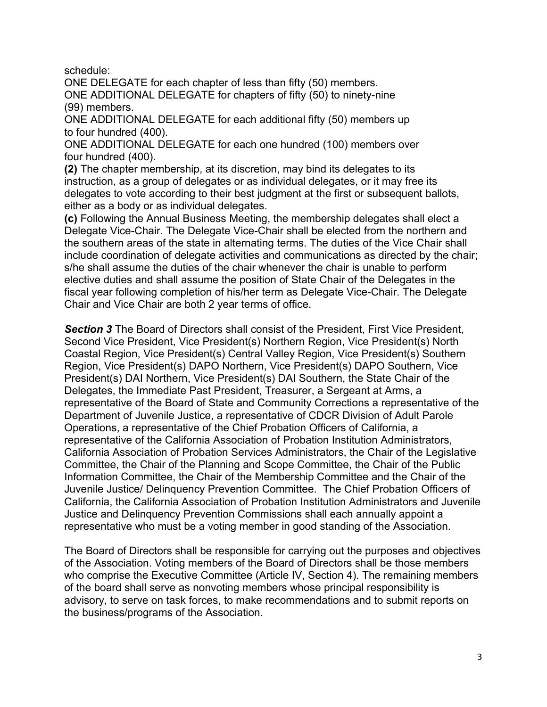schedule:

ONE DELEGATE for each chapter of less than fifty (50) members. ONE ADDITIONAL DELEGATE for chapters of fifty (50) to ninety-nine (99) members.

ONE ADDITIONAL DELEGATE for each additional fifty (50) members up to four hundred (400).

ONE ADDITIONAL DELEGATE for each one hundred (100) members over four hundred (400).

**(2)** The chapter membership, at its discretion, may bind its delegates to its instruction, as a group of delegates or as individual delegates, or it may free its delegates to vote according to their best judgment at the first or subsequent ballots, either as a body or as individual delegates.

**(c)** Following the Annual Business Meeting, the membership delegates shall elect a Delegate Vice-Chair. The Delegate Vice-Chair shall be elected from the northern and the southern areas of the state in alternating terms. The duties of the Vice Chair shall include coordination of delegate activities and communications as directed by the chair; s/he shall assume the duties of the chair whenever the chair is unable to perform elective duties and shall assume the position of State Chair of the Delegates in the fiscal year following completion of his/her term as Delegate Vice-Chair. The Delegate Chair and Vice Chair are both 2 year terms of office.

**Section 3** The Board of Directors shall consist of the President, First Vice President, Second Vice President, Vice President(s) Northern Region, Vice President(s) North Coastal Region, Vice President(s) Central Valley Region, Vice President(s) Southern Region, Vice President(s) DAPO Northern, Vice President(s) DAPO Southern, Vice President(s) DAI Northern, Vice President(s) DAI Southern, the State Chair of the Delegates, the Immediate Past President, Treasurer, a Sergeant at Arms, a representative of the Board of State and Community Corrections a representative of the Department of Juvenile Justice, a representative of CDCR Division of Adult Parole Operations, a representative of the Chief Probation Officers of California, a representative of the California Association of Probation Institution Administrators, California Association of Probation Services Administrators, the Chair of the Legislative Committee, the Chair of the Planning and Scope Committee, the Chair of the Public Information Committee, the Chair of the Membership Committee and the Chair of the Juvenile Justice/ Delinquency Prevention Committee. The Chief Probation Officers of California, the California Association of Probation Institution Administrators and Juvenile Justice and Delinquency Prevention Commissions shall each annually appoint a representative who must be a voting member in good standing of the Association.

The Board of Directors shall be responsible for carrying out the purposes and objectives of the Association. Voting members of the Board of Directors shall be those members who comprise the Executive Committee (Article IV, Section 4). The remaining members of the board shall serve as nonvoting members whose principal responsibility is advisory, to serve on task forces, to make recommendations and to submit reports on the business/programs of the Association.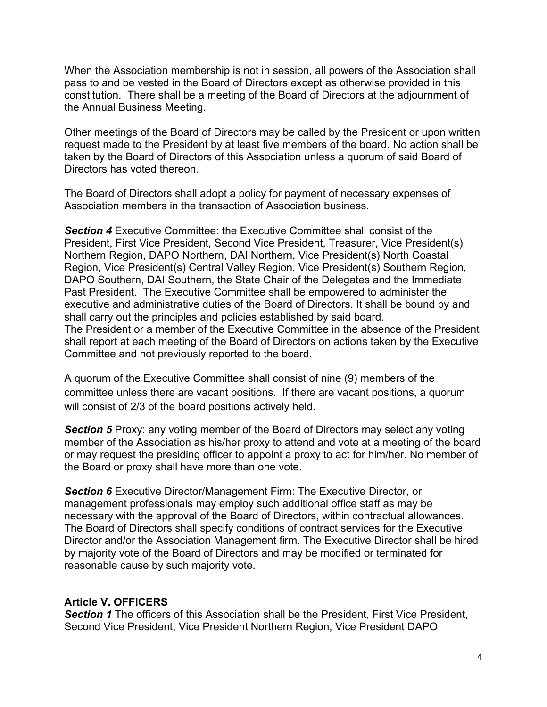When the Association membership is not in session, all powers of the Association shall pass to and be vested in the Board of Directors except as otherwise provided in this constitution. There shall be a meeting of the Board of Directors at the adjournment of the Annual Business Meeting.

Other meetings of the Board of Directors may be called by the President or upon written request made to the President by at least five members of the board. No action shall be taken by the Board of Directors of this Association unless a quorum of said Board of Directors has voted thereon.

The Board of Directors shall adopt a policy for payment of necessary expenses of Association members in the transaction of Association business.

*Section 4* Executive Committee: the Executive Committee shall consist of the President, First Vice President, Second Vice President, Treasurer, Vice President(s) Northern Region, DAPO Northern, DAI Northern, Vice President(s) North Coastal Region, Vice President(s) Central Valley Region, Vice President(s) Southern Region, DAPO Southern, DAI Southern, the State Chair of the Delegates and the Immediate Past President. The Executive Committee shall be empowered to administer the executive and administrative duties of the Board of Directors. It shall be bound by and shall carry out the principles and policies established by said board. The President or a member of the Executive Committee in the absence of the President shall report at each meeting of the Board of Directors on actions taken by the Executive Committee and not previously reported to the board.

A quorum of the Executive Committee shall consist of nine (9) members of the committee unless there are vacant positions. If there are vacant positions, a quorum will consist of 2/3 of the board positions actively held.

**Section 5** Proxy: any voting member of the Board of Directors may select any voting member of the Association as his/her proxy to attend and vote at a meeting of the board or may request the presiding officer to appoint a proxy to act for him/her. No member of the Board or proxy shall have more than one vote.

**Section 6** Executive Director/Management Firm: The Executive Director, or management professionals may employ such additional office staff as may be necessary with the approval of the Board of Directors, within contractual allowances. The Board of Directors shall specify conditions of contract services for the Executive Director and/or the Association Management firm. The Executive Director shall be hired by majority vote of the Board of Directors and may be modified or terminated for reasonable cause by such majority vote.

#### **Article V. OFFICERS**

**Section 1** The officers of this Association shall be the President, First Vice President, Second Vice President, Vice President Northern Region, Vice President DAPO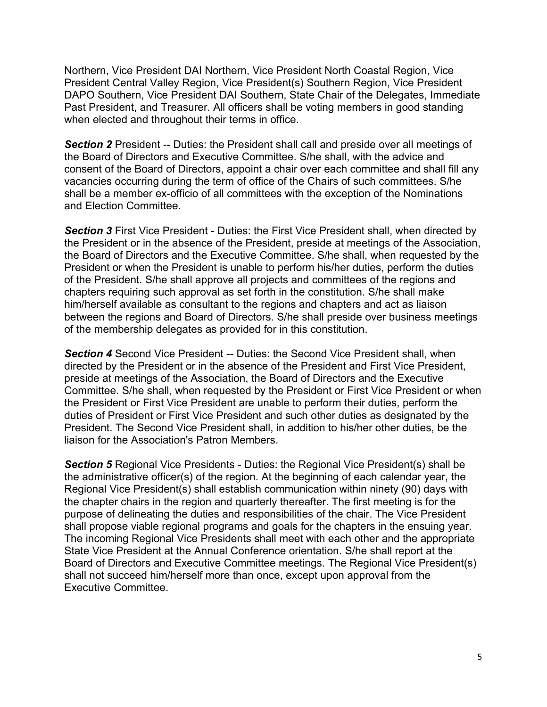Northern, Vice President DAI Northern, Vice President North Coastal Region, Vice President Central Valley Region, Vice President(s) Southern Region, Vice President DAPO Southern, Vice President DAI Southern, State Chair of the Delegates, Immediate Past President, and Treasurer. All officers shall be voting members in good standing when elected and throughout their terms in office.

**Section 2** President -- Duties: the President shall call and preside over all meetings of the Board of Directors and Executive Committee. S/he shall, with the advice and consent of the Board of Directors, appoint a chair over each committee and shall fill any vacancies occurring during the term of office of the Chairs of such committees. S/he shall be a member ex-officio of all committees with the exception of the Nominations and Election Committee.

**Section 3** First Vice President - Duties: the First Vice President shall, when directed by the President or in the absence of the President, preside at meetings of the Association, the Board of Directors and the Executive Committee. S/he shall, when requested by the President or when the President is unable to perform his/her duties, perform the duties of the President. S/he shall approve all projects and committees of the regions and chapters requiring such approval as set forth in the constitution. S/he shall make him/herself available as consultant to the regions and chapters and act as liaison between the regions and Board of Directors. S/he shall preside over business meetings of the membership delegates as provided for in this constitution.

**Section 4** Second Vice President -- Duties: the Second Vice President shall, when directed by the President or in the absence of the President and First Vice President, preside at meetings of the Association, the Board of Directors and the Executive Committee. S/he shall, when requested by the President or First Vice President or when the President or First Vice President are unable to perform their duties, perform the duties of President or First Vice President and such other duties as designated by the President. The Second Vice President shall, in addition to his/her other duties, be the liaison for the Association's Patron Members.

*Section 5* Regional Vice Presidents - Duties: the Regional Vice President(s) shall be the administrative officer(s) of the region. At the beginning of each calendar year, the Regional Vice President(s) shall establish communication within ninety (90) days with the chapter chairs in the region and quarterly thereafter. The first meeting is for the purpose of delineating the duties and responsibilities of the chair. The Vice President shall propose viable regional programs and goals for the chapters in the ensuing year. The incoming Regional Vice Presidents shall meet with each other and the appropriate State Vice President at the Annual Conference orientation. S/he shall report at the Board of Directors and Executive Committee meetings. The Regional Vice President(s) shall not succeed him/herself more than once, except upon approval from the Executive Committee.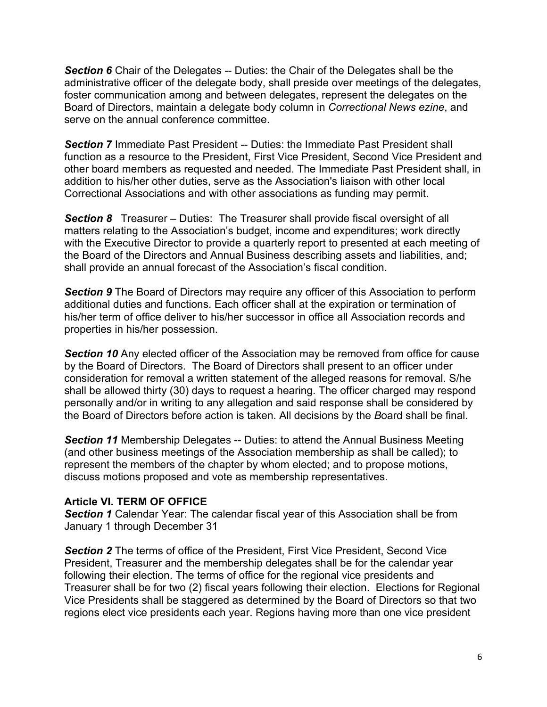**Section 6** Chair of the Delegates -- Duties: the Chair of the Delegates shall be the administrative officer of the delegate body, shall preside over meetings of the delegates, foster communication among and between delegates, represent the delegates on the Board of Directors, maintain a delegate body column in *Correctional News ezine*, and serve on the annual conference committee.

**Section 7** Immediate Past President -- Duties: the Immediate Past President shall function as a resource to the President, First Vice President, Second Vice President and other board members as requested and needed. The Immediate Past President shall, in addition to his/her other duties, serve as the Association's liaison with other local Correctional Associations and with other associations as funding may permit.

**Section 8** Treasurer – Duties: The Treasurer shall provide fiscal oversight of all matters relating to the Association's budget, income and expenditures; work directly with the Executive Director to provide a quarterly report to presented at each meeting of the Board of the Directors and Annual Business describing assets and liabilities, and; shall provide an annual forecast of the Association's fiscal condition.

**Section 9** The Board of Directors may require any officer of this Association to perform additional duties and functions. Each officer shall at the expiration or termination of his/her term of office deliver to his/her successor in office all Association records and properties in his/her possession.

**Section 10** Any elected officer of the Association may be removed from office for cause by the Board of Directors. The Board of Directors shall present to an officer under consideration for removal a written statement of the alleged reasons for removal. S/he shall be allowed thirty (30) days to request a hearing. The officer charged may respond personally and/or in writing to any allegation and said response shall be considered by the Board of Directors before action is taken. All decisions by the *B*oard shall be final.

**Section 11** Membership Delegates -- Duties: to attend the Annual Business Meeting (and other business meetings of the Association membership as shall be called); to represent the members of the chapter by whom elected; and to propose motions, discuss motions proposed and vote as membership representatives.

#### **Article VI. TERM OF OFFICE**

**Section 1** Calendar Year: The calendar fiscal year of this Association shall be from January 1 through December 31

**Section 2** The terms of office of the President, First Vice President, Second Vice President, Treasurer and the membership delegates shall be for the calendar year following their election. The terms of office for the regional vice presidents and Treasurer shall be for two (2) fiscal years following their election. Elections for Regional Vice Presidents shall be staggered as determined by the Board of Directors so that two regions elect vice presidents each year. Regions having more than one vice president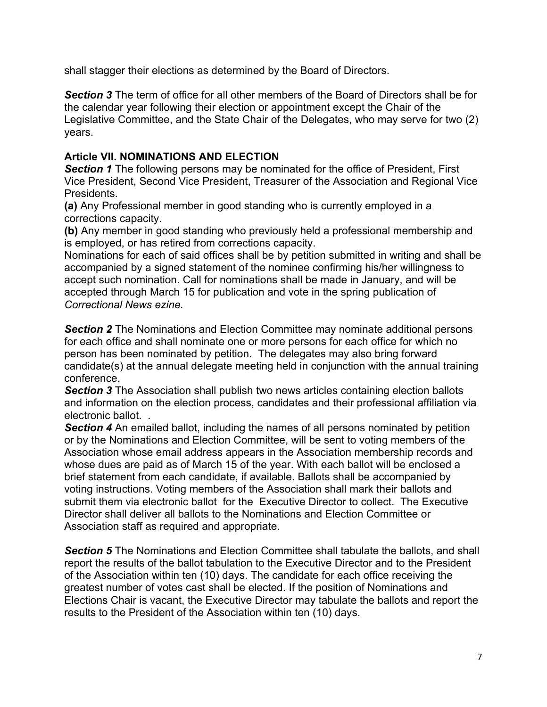shall stagger their elections as determined by the Board of Directors.

*Section 3* The term of office for all other members of the Board of Directors shall be for the calendar year following their election or appointment except the Chair of the Legislative Committee, and the State Chair of the Delegates, who may serve for two (2) years.

## **Article VII. NOMINATIONS AND ELECTION**

**Section 1** The following persons may be nominated for the office of President, First Vice President, Second Vice President, Treasurer of the Association and Regional Vice Presidents.

**(a)** Any Professional member in good standing who is currently employed in a corrections capacity.

**(b)** Any member in good standing who previously held a professional membership and is employed, or has retired from corrections capacity.

Nominations for each of said offices shall be by petition submitted in writing and shall be accompanied by a signed statement of the nominee confirming his/her willingness to accept such nomination. Call for nominations shall be made in January, and will be accepted through March 15 for publication and vote in the spring publication of *Correctional News ezine.* 

**Section 2** The Nominations and Election Committee may nominate additional persons for each office and shall nominate one or more persons for each office for which no person has been nominated by petition. The delegates may also bring forward candidate(s) at the annual delegate meeting held in conjunction with the annual training conference.

**Section 3** The Association shall publish two news articles containing election ballots and information on the election process, candidates and their professional affiliation via electronic ballot. .

**Section 4** An emailed ballot, including the names of all persons nominated by petition or by the Nominations and Election Committee, will be sent to voting members of the Association whose email address appears in the Association membership records and whose dues are paid as of March 15 of the year. With each ballot will be enclosed a brief statement from each candidate, if available. Ballots shall be accompanied by voting instructions. Voting members of the Association shall mark their ballots and submit them via electronic ballot for the Executive Director to collect. The Executive Director shall deliver all ballots to the Nominations and Election Committee or Association staff as required and appropriate.

**Section 5** The Nominations and Election Committee shall tabulate the ballots, and shall report the results of the ballot tabulation to the Executive Director and to the President of the Association within ten (10) days. The candidate for each office receiving the greatest number of votes cast shall be elected. If the position of Nominations and Elections Chair is vacant, the Executive Director may tabulate the ballots and report the results to the President of the Association within ten (10) days.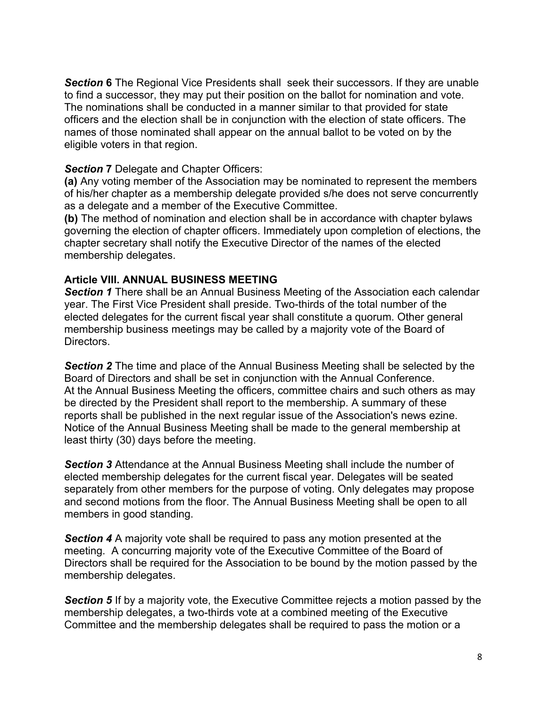**Section 6** The Regional Vice Presidents shall seek their successors. If they are unable to find a successor, they may put their position on the ballot for nomination and vote. The nominations shall be conducted in a manner similar to that provided for state officers and the election shall be in conjunction with the election of state officers. The names of those nominated shall appear on the annual ballot to be voted on by the eligible voters in that region.

#### **Section 7** Delegate and Chapter Officers:

**(a)** Any voting member of the Association may be nominated to represent the members of his/her chapter as a membership delegate provided s/he does not serve concurrently as a delegate and a member of the Executive Committee.

**(b)** The method of nomination and election shall be in accordance with chapter bylaws governing the election of chapter officers. Immediately upon completion of elections, the chapter secretary shall notify the Executive Director of the names of the elected membership delegates.

#### **Article VIII. ANNUAL BUSINESS MEETING**

**Section 1** There shall be an Annual Business Meeting of the Association each calendar year. The First Vice President shall preside. Two-thirds of the total number of the elected delegates for the current fiscal year shall constitute a quorum. Other general membership business meetings may be called by a majority vote of the Board of Directors.

**Section 2** The time and place of the Annual Business Meeting shall be selected by the Board of Directors and shall be set in conjunction with the Annual Conference. At the Annual Business Meeting the officers, committee chairs and such others as may be directed by the President shall report to the membership. A summary of these reports shall be published in the next regular issue of the Association's news ezine. Notice of the Annual Business Meeting shall be made to the general membership at least thirty (30) days before the meeting.

*Section 3* Attendance at the Annual Business Meeting shall include the number of elected membership delegates for the current fiscal year. Delegates will be seated separately from other members for the purpose of voting. Only delegates may propose and second motions from the floor. The Annual Business Meeting shall be open to all members in good standing.

*Section 4* A majority vote shall be required to pass any motion presented at the meeting. A concurring majority vote of the Executive Committee of the Board of Directors shall be required for the Association to be bound by the motion passed by the membership delegates.

**Section 5** If by a majority vote, the Executive Committee rejects a motion passed by the membership delegates, a two-thirds vote at a combined meeting of the Executive Committee and the membership delegates shall be required to pass the motion or a